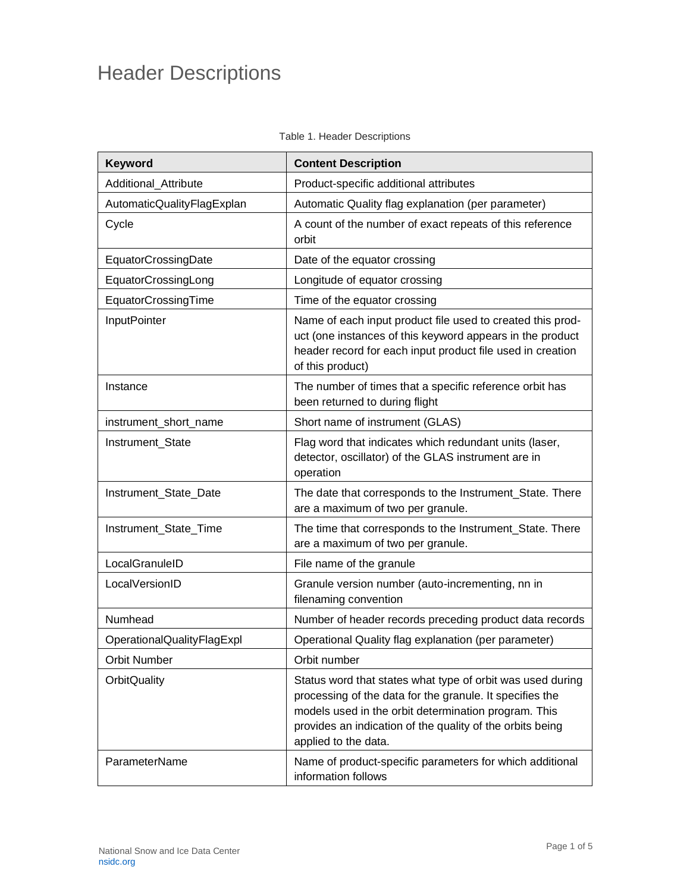## Header Descriptions

| Keyword                    | <b>Content Description</b>                                                                                                                                                                                                                                          |  |
|----------------------------|---------------------------------------------------------------------------------------------------------------------------------------------------------------------------------------------------------------------------------------------------------------------|--|
| Additional_Attribute       | Product-specific additional attributes                                                                                                                                                                                                                              |  |
| AutomaticQualityFlagExplan | Automatic Quality flag explanation (per parameter)                                                                                                                                                                                                                  |  |
| Cycle                      | A count of the number of exact repeats of this reference<br>orbit                                                                                                                                                                                                   |  |
| EquatorCrossingDate        | Date of the equator crossing                                                                                                                                                                                                                                        |  |
| EquatorCrossingLong        | Longitude of equator crossing                                                                                                                                                                                                                                       |  |
| EquatorCrossingTime        | Time of the equator crossing                                                                                                                                                                                                                                        |  |
| <b>InputPointer</b>        | Name of each input product file used to created this prod-<br>uct (one instances of this keyword appears in the product<br>header record for each input product file used in creation<br>of this product)                                                           |  |
| Instance                   | The number of times that a specific reference orbit has<br>been returned to during flight                                                                                                                                                                           |  |
| instrument_short_name      | Short name of instrument (GLAS)                                                                                                                                                                                                                                     |  |
| Instrument_State           | Flag word that indicates which redundant units (laser,<br>detector, oscillator) of the GLAS instrument are in<br>operation                                                                                                                                          |  |
| Instrument_State_Date      | The date that corresponds to the Instrument_State. There<br>are a maximum of two per granule.                                                                                                                                                                       |  |
| Instrument_State_Time      | The time that corresponds to the Instrument_State. There<br>are a maximum of two per granule.                                                                                                                                                                       |  |
| LocalGranuleID             | File name of the granule                                                                                                                                                                                                                                            |  |
| LocalVersionID             | Granule version number (auto-incrementing, nn in<br>filenaming convention                                                                                                                                                                                           |  |
| Numhead                    | Number of header records preceding product data records                                                                                                                                                                                                             |  |
| OperationalQualityFlagExpl | Operational Quality flag explanation (per parameter)                                                                                                                                                                                                                |  |
| <b>Orbit Number</b>        | Orbit number                                                                                                                                                                                                                                                        |  |
| <b>OrbitQuality</b>        | Status word that states what type of orbit was used during<br>processing of the data for the granule. It specifies the<br>models used in the orbit determination program. This<br>provides an indication of the quality of the orbits being<br>applied to the data. |  |
| ParameterName              | Name of product-specific parameters for which additional<br>information follows                                                                                                                                                                                     |  |

## Table 1. Header Descriptions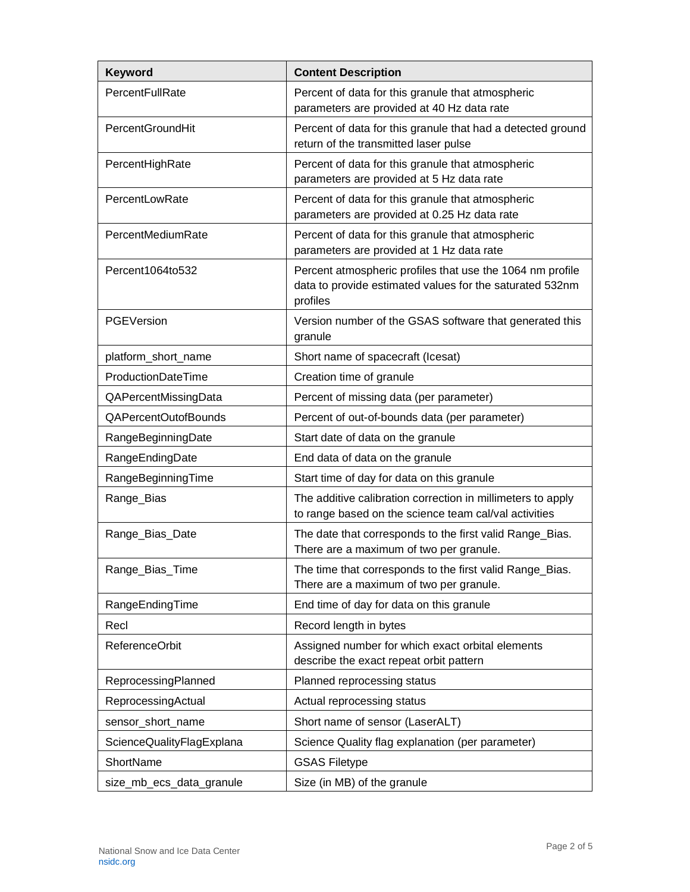| Keyword                   | <b>Content Description</b>                                                                                                        |  |
|---------------------------|-----------------------------------------------------------------------------------------------------------------------------------|--|
| PercentFullRate           | Percent of data for this granule that atmospheric<br>parameters are provided at 40 Hz data rate                                   |  |
| <b>PercentGroundHit</b>   | Percent of data for this granule that had a detected ground<br>return of the transmitted laser pulse                              |  |
| PercentHighRate           | Percent of data for this granule that atmospheric<br>parameters are provided at 5 Hz data rate                                    |  |
| PercentLowRate            | Percent of data for this granule that atmospheric<br>parameters are provided at 0.25 Hz data rate                                 |  |
| PercentMediumRate         | Percent of data for this granule that atmospheric<br>parameters are provided at 1 Hz data rate                                    |  |
| Percent1064to532          | Percent atmospheric profiles that use the 1064 nm profile<br>data to provide estimated values for the saturated 532nm<br>profiles |  |
| PGEVersion                | Version number of the GSAS software that generated this<br>granule                                                                |  |
| platform_short_name       | Short name of spacecraft (Icesat)                                                                                                 |  |
| ProductionDateTime        | Creation time of granule                                                                                                          |  |
| QAPercentMissingData      | Percent of missing data (per parameter)                                                                                           |  |
| QAPercentOutofBounds      | Percent of out-of-bounds data (per parameter)                                                                                     |  |
| RangeBeginningDate        | Start date of data on the granule                                                                                                 |  |
| RangeEndingDate           | End data of data on the granule                                                                                                   |  |
| RangeBeginningTime        | Start time of day for data on this granule                                                                                        |  |
| Range_Bias                | The additive calibration correction in millimeters to apply<br>to range based on the science team cal/val activities              |  |
| Range_Bias_Date           | The date that corresponds to the first valid Range_Bias.<br>There are a maximum of two per granule.                               |  |
| Range_Bias_Time           | The time that corresponds to the first valid Range_Bias.<br>There are a maximum of two per granule.                               |  |
| RangeEndingTime           | End time of day for data on this granule                                                                                          |  |
| Recl                      | Record length in bytes                                                                                                            |  |
| <b>ReferenceOrbit</b>     | Assigned number for which exact orbital elements<br>describe the exact repeat orbit pattern                                       |  |
| ReprocessingPlanned       | Planned reprocessing status                                                                                                       |  |
| ReprocessingActual        | Actual reprocessing status                                                                                                        |  |
| sensor_short_name         | Short name of sensor (LaserALT)                                                                                                   |  |
| ScienceQualityFlagExplana | Science Quality flag explanation (per parameter)                                                                                  |  |
| ShortName                 | <b>GSAS Filetype</b>                                                                                                              |  |
| size_mb_ecs_data_granule  | Size (in MB) of the granule                                                                                                       |  |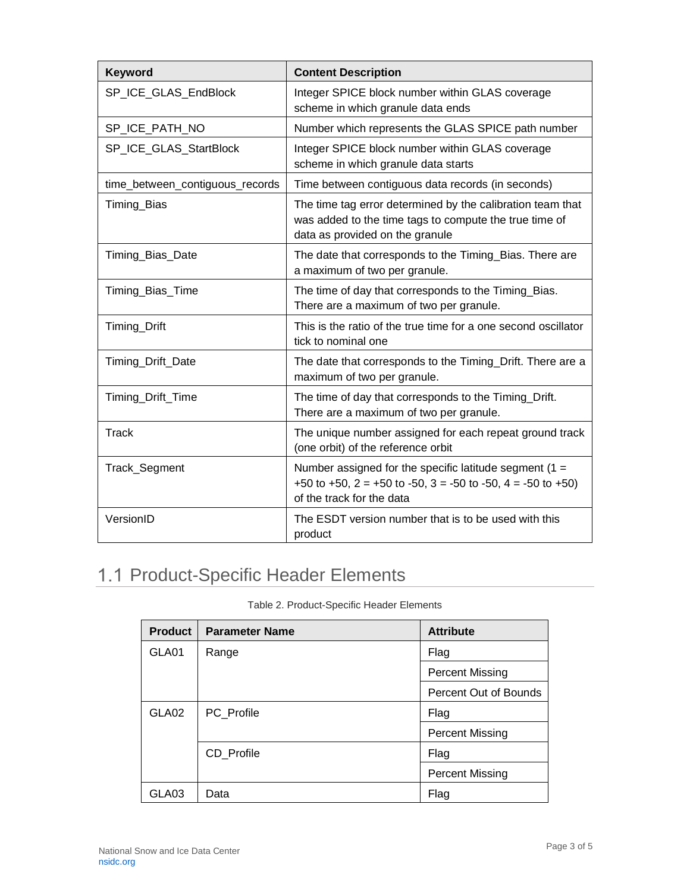| Keyword                         | <b>Content Description</b>                                                                                                                               |  |
|---------------------------------|----------------------------------------------------------------------------------------------------------------------------------------------------------|--|
| SP_ICE_GLAS_EndBlock            | Integer SPICE block number within GLAS coverage<br>scheme in which granule data ends                                                                     |  |
| SP_ICE_PATH_NO                  | Number which represents the GLAS SPICE path number                                                                                                       |  |
| SP_ICE_GLAS_StartBlock          | Integer SPICE block number within GLAS coverage<br>scheme in which granule data starts                                                                   |  |
| time_between_contiguous_records | Time between contiguous data records (in seconds)                                                                                                        |  |
| Timing_Bias                     | The time tag error determined by the calibration team that<br>was added to the time tags to compute the true time of<br>data as provided on the granule  |  |
| Timing_Bias_Date                | The date that corresponds to the Timing_Bias. There are<br>a maximum of two per granule.                                                                 |  |
| Timing_Bias_Time                | The time of day that corresponds to the Timing_Bias.<br>There are a maximum of two per granule.                                                          |  |
| Timing_Drift                    | This is the ratio of the true time for a one second oscillator<br>tick to nominal one                                                                    |  |
| Timing_Drift_Date               | The date that corresponds to the Timing_Drift. There are a<br>maximum of two per granule.                                                                |  |
| Timing_Drift_Time               | The time of day that corresponds to the Timing_Drift.<br>There are a maximum of two per granule.                                                         |  |
| <b>Track</b>                    | The unique number assigned for each repeat ground track<br>(one orbit) of the reference orbit                                                            |  |
| Track_Segment                   | Number assigned for the specific latitude segment (1 =<br>+50 to +50, $2 = +50$ to -50, $3 = -50$ to -50, $4 = -50$ to +50)<br>of the track for the data |  |
| VersionID                       | The ESDT version number that is to be used with this<br>product                                                                                          |  |

## 1.1 Product-Specific Header Elements

| <b>Product</b> | <b>Parameter Name</b> | <b>Attribute</b>       |
|----------------|-----------------------|------------------------|
| GLA01          | Range                 | Flag                   |
|                |                       | <b>Percent Missing</b> |
|                |                       | Percent Out of Bounds  |
| GLA02          | PC Profile            | Flag                   |
|                |                       | <b>Percent Missing</b> |
|                | CD_Profile            | Flag                   |
|                |                       | <b>Percent Missing</b> |
| GLA03          | Data                  | Flag                   |

Table 2. Product-Specific Header Elements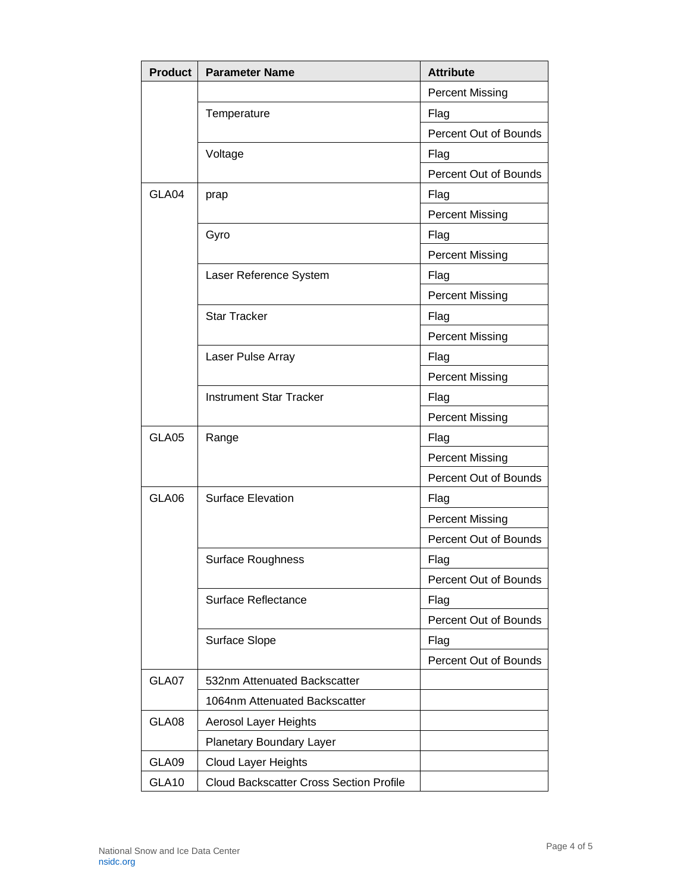| <b>Product</b> | <b>Parameter Name</b>                          | <b>Attribute</b>       |
|----------------|------------------------------------------------|------------------------|
|                |                                                | <b>Percent Missing</b> |
|                | Temperature                                    | Flag                   |
|                |                                                | Percent Out of Bounds  |
|                | Voltage                                        | Flag                   |
|                |                                                | Percent Out of Bounds  |
| GLA04          | prap                                           | Flag                   |
|                |                                                | <b>Percent Missing</b> |
|                | Gyro                                           | Flag                   |
|                |                                                | <b>Percent Missing</b> |
|                | Laser Reference System                         | Flag                   |
|                |                                                | <b>Percent Missing</b> |
|                | <b>Star Tracker</b>                            | Flag                   |
|                |                                                | <b>Percent Missing</b> |
|                | Laser Pulse Array                              | Flag                   |
|                |                                                | <b>Percent Missing</b> |
|                | <b>Instrument Star Tracker</b>                 | Flag                   |
|                |                                                | <b>Percent Missing</b> |
| GLA05          | Range                                          | Flag                   |
|                |                                                | <b>Percent Missing</b> |
|                |                                                | Percent Out of Bounds  |
| GLA06          | <b>Surface Elevation</b>                       | Flag                   |
|                |                                                | <b>Percent Missing</b> |
|                |                                                | Percent Out of Bounds  |
|                | Surface Roughness                              | Flag                   |
|                |                                                | Percent Out of Bounds  |
|                | Surface Reflectance                            | Flag                   |
|                |                                                | Percent Out of Bounds  |
|                | Surface Slope                                  | Flag                   |
|                |                                                | Percent Out of Bounds  |
| GLA07          | 532nm Attenuated Backscatter                   |                        |
|                | 1064nm Attenuated Backscatter                  |                        |
| GLA08          | Aerosol Layer Heights                          |                        |
|                | Planetary Boundary Layer                       |                        |
| GLA09          | <b>Cloud Layer Heights</b>                     |                        |
| GLA10          | <b>Cloud Backscatter Cross Section Profile</b> |                        |